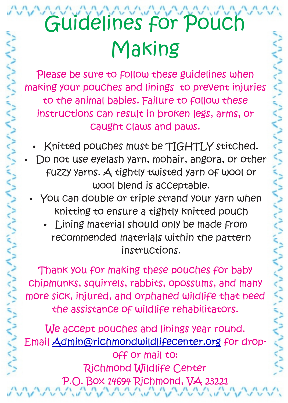Please be sure to follow these guidelines when making your pouches and linings to prevent injuries to the animal babies. Failure to follow these instructions can result in broken legs, arms, or caught claws and paws.

- Knitted pouches must be TIGHTLY stitched.
- Do not use eyelash yarn, mohair, angora, or other fuzzy yarns. A tightly twisted yarn of wool or wool blend is acceptable.
- You can double or triple strand your yarn when knitting to ensure a tightly knitted pouch
	- Lining material should only be made from recommended materials within the pattern instructions.

Thank you for making these pouches for baby chipmunks, squirrels, rabbits, opossums, and many more sick, injured, and orphaned wildlife that need the assistance of wildlife rehabilitators.

We accept pouches and linings year round. <u>Email<del>A</del>dmin@richmondwildlifecenter.org</u> for dropoff or mail to: Richmond Wildlife Center P.O. Box 14694 Richmond, VA 23221